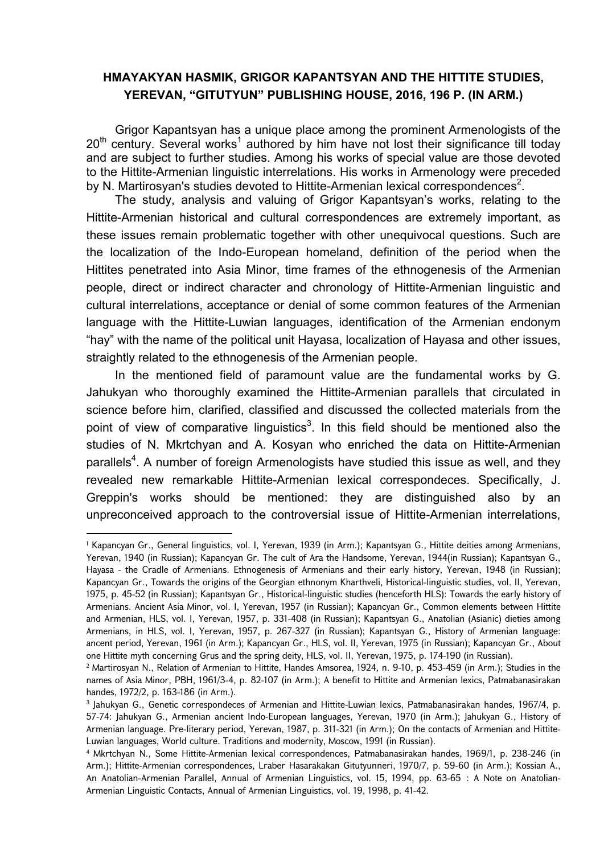## **HMAYAKYAN HASMIK, GRIGOR KAPANTSYAN AND THE HITTITE STUDIES, YEREVAN, "GITUTYUN" PUBLISHING HOUSE, 2016, 196 P. (IN ARM.)**

Grigor Kapantsyan has a unique place among the prominent Armenologists of the  $20<sup>th</sup>$  century. Several works<sup>1</sup> authored by him have not lost their significance till today and are subject to further studies. Among his works of special value are those devoted to the Hittite-Armenian linguistic interrelations. His works in Armenology were preceded by N. Martirosyan's studies devoted to Hittite-Armenian lexical correspondences<sup>2</sup>.

The study, analysis and valuing of Grigor Kapantsyan's works, relating to the Hittite-Armenian historical and cultural correspondences are extremely important, as these issues remain problematic together with other unequivocal questions. Such are the localization of the Indo-European homeland, definition of the period when the Hittites penetrated into Asia Minor, time frames of the ethnogenesis of the Armenian people, direct or indirect character and chronology of Hittite-Armenian linguistic and cultural interrelations, acceptance or denial of some common features of the Armenian language with the Hittite-Luwian languages, identification of the Armenian endonym "hay" with the name of the political unit Hayasa, localization of Hayasa and other issues, straightly related to the ethnogenesis of the Armenian people.

In the mentioned field of paramount value are the fundamental works by G. Jahukyan who thoroughly examined the Hittite-Armenian parallels that circulated in science before him, clarified, classified and discussed the collected materials from the point of view of comparative linguistics<sup>3</sup>. In this field should be mentioned also the studies of N. Mkrtchyan and A. Kosyan who enriched the data on Hittite-Armenian parallels<sup>4</sup>. A number of foreign Armenologists have studied this issue as well, and they revealed new remarkable Hittite-Armenian lexical correspondeces. Specifically, J. Greppin's works should be mentioned: they are distinguished also by an unpreconceived approach to the controversial issue of Hittite-Armenian interrelations,

**.** 

<sup>1</sup> Kapancyan Gr., General linguistics, vol. I, Yerevan, 1939 (in Arm.); Kapantsyan G., Hittite deities among Armenians, Yerevan, 1940 (in Russian); Kapancyan Gr. The cult of Ara the Handsome, Yerevan, 1944(in Russian); Kapantsyan G., Hayasa - the Cradle of Armenians. Ethnogenesis of Armenians and their early history, Yerevan, 1948 (in Russian); Kapancyan Gr., Towards the origins of the Georgian ethnonym Kharthveli, Historical-linguistic studies, vol. II, Yerevan, 1975, p. 45-52 (in Russian); Kapantsyan Gr., Historical-linguistic studies (henceforth HLS): Towards the early history of Armenians. Ancient Asia Minor, vol. I, Yerevan, 1957 (in Russian); Kapancyan Gr., Common elements between Hittite and Armenian, HLS, vol. I, Yerevan, 1957, p. 331-408 (in Russian); Kapantsyan G., Anatolian (Asianic) dieties among Armenians, in HLS, vol. I, Yerevan, 1957, p. 267-327 (in Russian); Kapantsyan G., History of Armenian language: ancent period, Yerevan, 1961 (in Arm.); Kapancyan Gr., HLS, vol. II, Yerevan, 1975 (in Russian); Kapancyan Gr., About one Hittite myth concerning Grus and the spring deity, HLS, vol. II, Yerevan, 1975, p. 174-190 (in Russian).

<sup>2</sup> Martirosyan N., Relation of Armenian to Hittite, Handes Amsorea, 1924, n. 9-10, p. 453-459 (in Arm.); Studies in the names of Asia Minor, PBH, 1961/3-4, p. 82-107 (in Arm.); A benefit to Hittite and Armenian lexics, Patmabanasirakan handes, 1972/2, p. 163-186 (in Arm.).

<sup>3</sup> Jahukyan G., Genetic correspondeces of Armenian and Hittite-Luwian lexics, Patmabanasirakan handes, 1967/4, p. 57-74: Jahukyan G., Armenian ancient Indo-European languages, Yerevan, 1970 (in Arm.); Jahukyan G., History of Armenian language. Pre-literary period, Yerevan, 1987, p. 311-321 (in Arm.); On the contacts of Armenian and Hittite-Luwian languages, World culture. Traditions and modernity, Moscow, 1991 (in Russian).

<sup>4</sup> Mkrtchyan N., Some Hittite-Armenian lexical correspondences, Patmabanasirakan handes, 1969/1, p. 238-246 (in Arm.); Hittite-Armenian correspondences, Lraber Hasarakakan Gitutyunneri, 1970/7, p. 59-60 (in Arm.); Kossian A., An Anatolian-Armenian Parallel, Annual of Armenian Linguistics, vol. 15, 1994, pp. 63-65 : A Note on Anatolian-Armenian Linguistic Contacts, Annual of Armenian Linguistics, vol. 19, 1998, p. 41-42.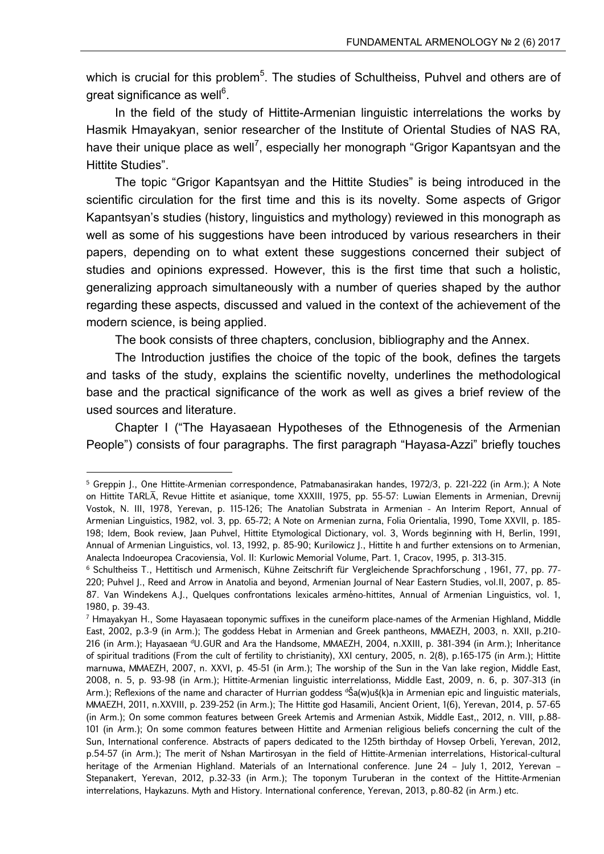which is crucial for this problem<sup>5</sup>. The studies of Schultheiss, Puhvel and others are of great significance as well<sup>6</sup>.

In the field of the study of Hittite-Armenian linguistic interrelations the works by Hasmik Hmayakyan, senior researcher of the Institute of Oriental Studies of NAS RA, have their unique place as well<sup>7</sup>, especially her monograph "Grigor Kapantsyan and the Hittite Studies".

The topic "Grigor Kapantsyan and the Hittite Studies" is being introduced in the scientific circulation for the first time and this is its novelty. Some aspects of Grigor Kapantsyan's studies (history, linguistics and mythology) reviewed in this monograph as well as some of his suggestions have been introduced by various researchers in their papers, depending on to what extent these suggestions concerned their subject of studies and opinions expressed. However, this is the first time that such a holistic, generalizing approach simultaneously with a number of queries shaped by the author regarding these aspects, discussed and valued in the context of the achievement of the modern science, is being applied.

The book consists of three chapters, conclusion, bibliography and the Annex.

The Introduction justifies the choice of the topic of the book, defines the targets and tasks of the study, explains the scientific novelty, underlines the methodological base and the practical significance of the work as well as gives a brief review of the used sources and literature.

Chapter I ("The Hayasaean Hypotheses of the Ethnogenesis of the Armenian People") consists of four paragraphs. The first paragraph "Hayasa-Azzi" briefly touches

1

<sup>5</sup> Greppin J., One Hittite-Armenian correspondence, Patmabanasirakan handes, 1972/3, p. 221-222 (in Arm.); A Note on Hittite TARLĀ, Revue Hittite et asianique, tome XXXIII, 1975, pp. 55-57: Luwian Elements in Armenian, Drevnij Vostok, N. III, 1978, Yerevan, p. 115-126; The Anatolian Substrata in Armenian - An Interim Report, Annual of Armenian Linguistics, 1982, vol. 3, pp. 65-72; A Note on Armenian zurna, Folia Orientalia, 1990, Tome XXVII, p. 185- 198; Idem, Book review, Jaan Puhvel, Hittite Etymological Dictionary, vol. 3, Words beginning with H, Berlin, 1991, Annual of Armenian Linguistics, vol. 13, 1992, p. 85-90; Kurilowicz J., Hittite h and further extensions on to Armenian, Analecta Indoeuropea Cracoviensia, Vol. II: Kurlowic Memorial Volume, Part. 1, Cracov, 1995, p. 313-315.

<sup>&</sup>lt;sup>6</sup> Schultheiss T., Hettitisch und Armenisch, Kühne Zeitschrift für Vergleichende Sprachforschung, 1961, 77, pp. 77-220; Puhvel J., Reed and Arrow in Anatolia and beyond, Armenian Journal of Near Eastern Studies, vol.II, 2007, p. 85- 87. Van Windekens A.J., Quelques confrontations lexicales arméno-hittites, Annual of Armenian Linguistics, vol. 1, 1980, p. 39-43.

<sup>7</sup> Hmayakyan H., Some Hayasaean toponymic suffixes in the cuneiform place-names of the Armenian Highland, Middle East, 2002, p.3-9 (in Arm.); The goddess Hebat in Armenian and Greek pantheons, MMAEZH, 2003, n. XXII, p.210- 216 (in Arm.); Hayasaean dU.GUR and Ara the Handsome, MMAEZH, 2004, n.XXIII, p. 381-394 (in Arm.); Inheritance of spiritual traditions (From the cult of fertility to christianity), XXI century, 2005, n. 2(8), p.165-175 (in Arm.); Hittite marnuwa, MMAEZH, 2007, n. XXVI, p. 45-51 (in Arm.); The worship of the Sun in the Van lake region, Middle East, 2008, n. 5, p. 93-98 (in Arm.); Hittite-Armenian linguistic interrelationss, Middle East, 2009, n. 6, p. 307-313 (in Arm.); Reflexions of the name and character of Hurrian goddess  $\alpha$  (w)uš(k)a in Armenian epic and linguistic materials, MMAEZH, 2011, n.XXVIII, p. 239-252 (in Arm.); The Hittite god Hasamili, Ancient Orient, 1(6), Yerevan, 2014, p. 57-65 (in Arm.); On some common features between Greek Artemis and Armenian Astxik, Middle East,, 2012, n. VIII, p.88- 101 (in Arm.); On some common features between Hittite and Armenian religious beliefs concerning the cult of the Sun, International conference. Abstracts of papers dedicated to the 125th birthday of Hovsep Orbeli, Yerevan, 2012, p.54-57 (in Arm.); The merit of Nshan Martirosyan in the field of Hittite-Armenian interrelations, Historical-cultural heritage of the Armenian Highland. Materials of an International conference. June 24 – July 1, 2012, Yerevan – Stepanakert, Yerevan, 2012, p.32-33 (in Arm.); The toponym Turuberan in the context of the Hittite-Armenian interrelations, Haykazuns. Myth and History. International conference, Yerevan, 2013, p.80-82 (in Arm.) etc.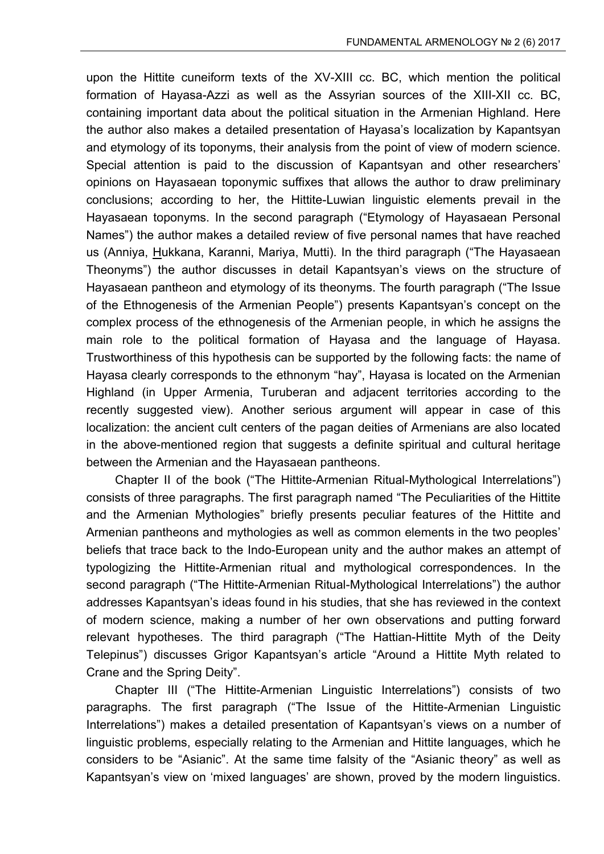upon the Hittite cuneiform texts of the XV-XIII cc. BC, which mention the political formation of Hayasa-Azzi as well as the Assyrian sources of the XIII-XII cc. BC, containing important data about the political situation in the Armenian Highland. Here the author also makes a detailed presentation of Hayasa's localization by Kapantsyan and etymology of its toponyms, their analysis from the point of view of modern science. Special attention is paid to the discussion of Kapantsyan and other researchers' opinions on Hayasaean toponymic suffixes that allows the author to draw preliminary conclusions; according to her, the Hittite-Luwian linguistic elements prevail in the Hayasaean toponyms. In the second paragraph ("Etymology of Hayasaean Personal Names") the author makes a detailed review of five personal names that have reached us (Anniya, Hukkana, Karanni, Mariya, Mutti). In the third paragraph ("The Hayasaean Theonyms") the author discusses in detail Kapantsyan's views on the structure of Hayasaean pantheon and etymology of its theonyms. The fourth paragraph ("The Issue of the Ethnogenesis of the Armenian People") presents Kapantsyan's concept on the complex process of the ethnogenesis of the Armenian people, in which he assigns the main role to the political formation of Hayasa and the language of Hayasa. Trustworthiness of this hypothesis can be supported by the following facts: the name of Hayasa clearly corresponds to the ethnonym "hay", Hayasa is located on the Armenian Highland (in Upper Armenia, Turuberan and adjacent territories according to the recently suggested view). Another serious argument will appear in case of this localization: the ancient cult centers of the pagan deities of Armenians are also located in the above-mentioned region that suggests a definite spiritual and cultural heritage between the Armenian and the Hayasaean pantheons.

Chapter II of the book ("The Hittite-Armenian Ritual-Mythological Interrelations") consists of three paragraphs. The first paragraph named "The Peculiarities of the Hittite and the Armenian Mythologies" briefly presents peculiar features of the Hittite and Armenian pantheons and mythologies as well as common elements in the two peoples' beliefs that trace back to the Indo-European unity and the author makes an attempt of typologizing the Hittite-Armenian ritual and mythological correspondences. In the second paragraph ("The Hittite-Armenian Ritual-Mythological Interrelations") the author addresses Kapantsyan's ideas found in his studies, that she has reviewed in the context of modern science, making a number of her own observations and putting forward relevant hypotheses. The third paragraph ("The Hattian-Hittite Myth of the Deity Telepinus") discusses Grigor Kapantsyan's article "Around a Hittite Myth related to Crane and the Spring Deity".

Chapter III ("The Hittite-Armenian Linguistic Interrelations") consists of two paragraphs. The first paragraph ("The Issue of the Hittite-Armenian Linguistic Interrelations") makes a detailed presentation of Kapantsyan's views on a number of linguistic problems, especially relating to the Armenian and Hittite languages, which he considers to be "Asianic". At the same time falsity of the "Asianic theory" as well as Kapantsyan's view on 'mixed languages' are shown, proved by the modern linguistics.